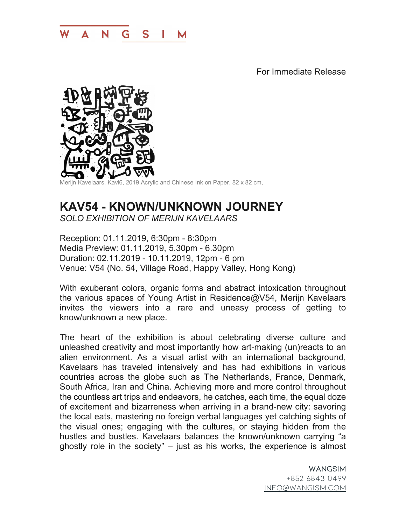

For Immediate Release



Merijn Kavelaars, Kavi6, 2019,Acrylic and Chinese Ink on Paper, 82 x 82 cm,

## **KAV54 - KNOWN/UNKNOWN JOURNEY** *SOLO EXHIBITION OF MERIJN KAVELAARS*

Reception: 01.11.2019, 6:30pm - 8:30pm Media Preview: 01.11.2019, 5.30pm - 6.30pm Duration: 02.11.2019 - 10.11.2019, 12pm - 6 pm Venue: V54 (No. 54, Village Road, Happy Valley, Hong Kong)

With exuberant colors, organic forms and abstract intoxication throughout the various spaces of Young Artist in Residence@V54, Merijn Kavelaars invites the viewers into a rare and uneasy process of getting to know/unknown a new place.

The heart of the exhibition is about celebrating diverse culture and unleashed creativity and most importantly how art-making (un)reacts to an alien environment. As a visual artist with an international background, Kavelaars has traveled intensively and has had exhibitions in various countries across the globe such as The Netherlands, France, Denmark, South Africa, Iran and China. Achieving more and more control throughout the countless art trips and endeavors, he catches, each time, the equal doze of excitement and bizarreness when arriving in a brand-new city: savoring the local eats, mastering no foreign verbal languages yet catching sights of the visual ones; engaging with the cultures, or staying hidden from the hustles and bustles. Kavelaars balances the known/unknown carrying "a ghostly role in the society" – just as his works, the experience is almost

> WANGSIM +852 6843 0499 info@wangism.com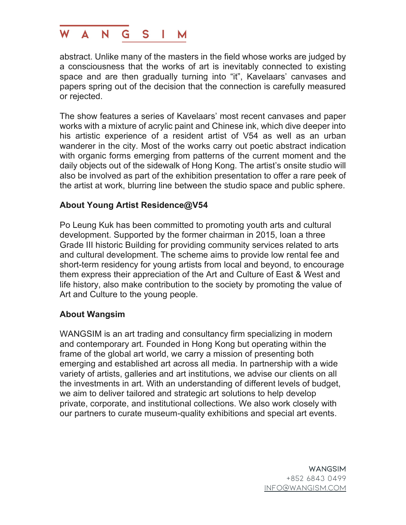

abstract. Unlike many of the masters in the field whose works are judged by a consciousness that the works of art is inevitably connected to existing space and are then gradually turning into "it", Kavelaars' canvases and papers spring out of the decision that the connection is carefully measured or rejected.

The show features a series of Kavelaars' most recent canvases and paper works with a mixture of acrylic paint and Chinese ink, which dive deeper into his artistic experience of a resident artist of V54 as well as an urban wanderer in the city. Most of the works carry out poetic abstract indication with organic forms emerging from patterns of the current moment and the daily objects out of the sidewalk of Hong Kong. The artist's onsite studio will also be involved as part of the exhibition presentation to offer a rare peek of the artist at work, blurring line between the studio space and public sphere.

## **About Young Artist Residence@V54**

Po Leung Kuk has been committed to promoting youth arts and cultural development. Supported by the former chairman in 2015, loan a three Grade III historic Building for providing community services related to arts and cultural development. The scheme aims to provide low rental fee and short-term residency for young artists from local and beyond, to encourage them express their appreciation of the Art and Culture of East & West and life history, also make contribution to the society by promoting the value of Art and Culture to the young people.

## **About Wangsim**

WANGSIM is an art trading and consultancy firm specializing in modern and contemporary art. Founded in Hong Kong but operating within the frame of the global art world, we carry a mission of presenting both emerging and established art across all media. In partnership with a wide variety of artists, galleries and art institutions, we advise our clients on all the investments in art. With an understanding of different levels of budget, we aim to deliver tailored and strategic art solutions to help develop private, corporate, and institutional collections. We also work closely with our partners to curate museum-quality exhibitions and special art events.